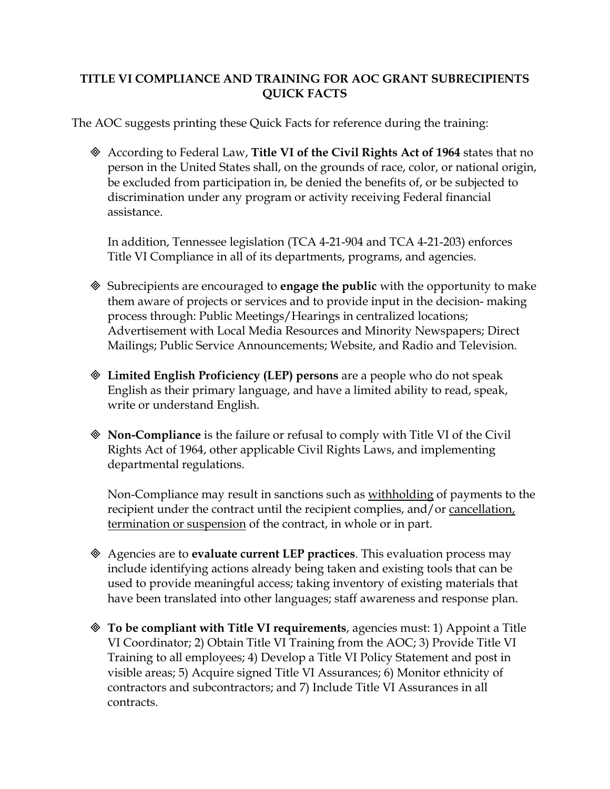## **TITLE VI COMPLIANCE AND TRAINING FOR AOC GRANT SUBRECIPIENTS QUICK FACTS**

The AOC suggests printing these Quick Facts for reference during the training:

 According to Federal Law, **Title VI of the Civil Rights Act of 1964** states that no person in the United States shall, on the grounds of race, color, or national origin, be excluded from participation in, be denied the benefits of, or be subjected to discrimination under any program or activity receiving Federal financial assistance.

In addition, Tennessee legislation (TCA 4-21-904 and TCA 4-21-203) enforces Title VI Compliance in all of its departments, programs, and agencies.

- Subrecipients are encouraged to **engage the public** with the opportunity to make them aware of projects or services and to provide input in the decision- making process through: Public Meetings/Hearings in centralized locations; Advertisement with Local Media Resources and Minority Newspapers; Direct Mailings; Public Service Announcements; Website, and Radio and Television.
- **Limited English Proficiency (LEP) persons** are a people who do not speak English as their primary language, and have a limited ability to read, speak, write or understand English.
- **Non-Compliance** is the failure or refusal to comply with Title VI of the Civil Rights Act of 1964, other applicable Civil Rights Laws, and implementing departmental regulations.

Non-Compliance may result in sanctions such as withholding of payments to the recipient under the contract until the recipient complies, and/or cancellation, termination or suspension of the contract, in whole or in part.

- Agencies are to **evaluate current LEP practices**. This evaluation process may include identifying actions already being taken and existing tools that can be used to provide meaningful access; taking inventory of existing materials that have been translated into other languages; staff awareness and response plan.
- **To be compliant with Title VI requirements**, agencies must: 1) Appoint a Title VI Coordinator; 2) Obtain Title VI Training from the AOC; 3) Provide Title VI Training to all employees; 4) Develop a Title VI Policy Statement and post in visible areas; 5) Acquire signed Title VI Assurances; 6) Monitor ethnicity of contractors and subcontractors; and 7) Include Title VI Assurances in all contracts.